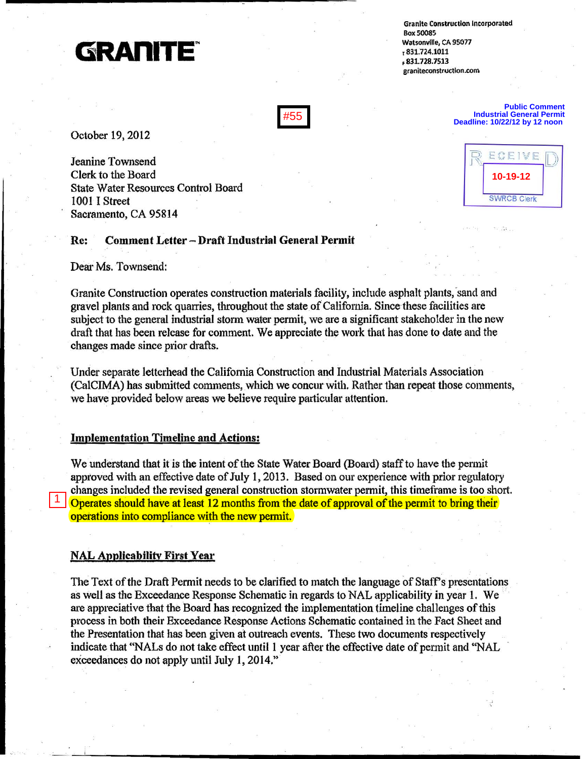

**Granite Construction Incorporated** Box 50085 **Watsonville, CA 95077**  ,831.724.1011 .831.728.7513  $granite construction.com$ 

October 19,2012

Jeanine Townsend Clerk to the Board State Water Resources Control Board 1001 I Street Sacramento, CA 95814

#### Re: Comment Letter - Draft Industrial General Permit

Dear Ms. Townsend:

Granite Construction operates construction materials facility, include asphalt plants, sand and gravel plants and rock quarries, throughout the state of California. Since these facilities are subject to the general industrial storm water permit, we are a significant stakeholder in the new draft that has been release for comment. We appreciate the work that has done to date and the changes made since prior drafts.  $#55$ <br>
Detober 19, 2012<br>
Jeanine Townsend<br>
Clerk to the Board<br>
State Water Resources Control Board<br>
1001 I Street<br>
Sacramento, CA 95814<br>
Re: Comment Letter - Draft Industrial Gene<br>
Dear Ms. Townsend:<br>
Granite Construction

Under separate letterhead the Califomia Construction and Industrial Materials Association (CaICIMA) has submitted comments, which we concur with. Rather than repeat those conunents, we have provided below areas we believe require particular attention.

#### Implementation Timeline and Actions:

We understand that it is the intent of the State Water Board (Board) staff to have the permit approved with an effective date of July 1,2013. Based on our experience with prior regulatory changes included the revised general construction stormwater permit, this timeframe is too short. Operates should have at least 12 months from the date of approval of the permit to bring their operations into compliance with the new permit.

### NAL Applicability First Year

The Text of the Draft Permit needs to be clarified to match the language of Staff's presentations as well as the Exceedance Response Schematic in regards to NAL applicability in year 1. We are appreciative that the Board has recognized the implementation timeline challenges of this process in both their Exceedance Response Actions Schematic contained in the Fact Sheet and the Presentation that has been given at outreach events. These two documents respectively indicate that "NALs do not take effect until I year after the effective date of permit and "NAL exceedances do not apply until July 1, 2014."



. ,

**Public Comment Industrial General Permit Deadline: 10/22/12 by 12 noon**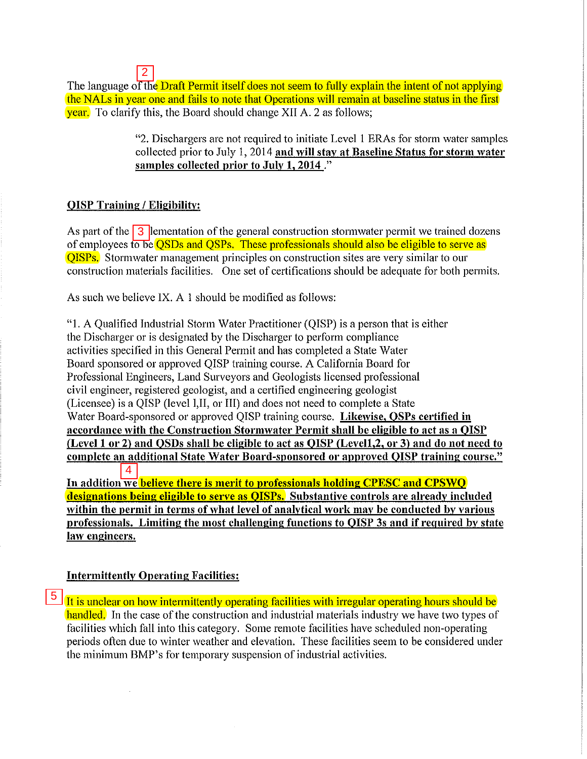$\vert 2 \vert$ The language of the Draft Permit itself does not seem to fully explain the intent of not applying the NALs in year one and fails to note that Operations will remain at baseline status in the first **year.** To clarify this, the Board should change XII A. 2 as follows;

> "2. Dischargers are not required to initiate Levell ERAs for storm water samples collected prior to July 1, 2014 and will stay at Baseline Status for storm water samples collected prior to July **1,2014** ."

# **QISP Training / Eligibility:**

As part of the  $\overline{3}$  lementation of the general construction stormwater permit we trained dozens of employees to be **QSDs** and **QSPs.** These professionals should also be eligible to serve as **QISPs.** Stormwater management principles on construction sites are very similar to our construction materials facilities. One set of certifications should be adequate for both permits.

As such we believe IX. A I should be modified as follows:

2<br>
The language of t<br>
the NALs in year<br>
year. To clarify the<br>
"2<br>
"2<br>
coloring /<br>
"2<br>
coloring<br>
Sand Construction mate<br>
As part of the 3<br>
of employees to believ<br>
OISPS. Stormwate<br>
construction mate<br>
As such we believ<br>
"1. "1. A Qualified Industrial Storm Water Practitioner (QISP) is a person that is either the Discharger or is designated by the Discharger to perform compliance activities specified in this General Permit and has completed a State Water Board sponsored or approved QISP training course. A California Board for Professional Engineers, Land Surveyors and Geologists licensed professional civil engineer, registered geologist, and a certified engineering geologist (Licensee) is a QISP (level I,II, or III) and does not need to complete a State Water Board-sponsored or approved QISP training course. Likewise, OSPs certified in accordance with the Construction Stormwater Permit shall be eligible to act as a QISP (Level 1 or 2) and OSDs shall be eligible to act as OISP (Level1, 2, or 3) and do not need to complete an additional State Water Board-sponsored or approved QISP training course."  $\overline{4}$ In addition we believe there is merit to professionals holding CPESC and CPSWO

designations being eligible to serve as **QISPs.** Substantive controls are already included within the permit in terms of what level of analytical work may be conducted by various professionals. Limiting the most challenging functions to QISP 3s and if required by state law engineers.

### Intermittently Qperating Facilities:

**5** It is unclear on how intermittently operating facilities with irregular operating hours should be handled. In the case of the construction and industrial materials industry we have two types of facilities which fall into this category. Some remote facilities have scheduled non-operating periods often due to winter weather and elevation. These facilities seem to be considered under the minimum BMP's for temporary suspension of industrial activities.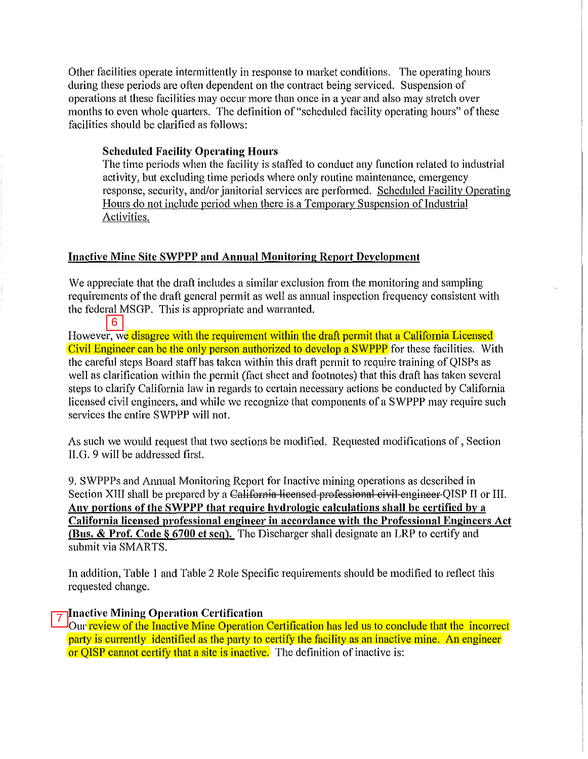Other facilities operate intermittently in response to market conditions. The operating hours during these periods are often dependent on the contract being serviced. Suspension of operations at these facilities may occur more than once in a year and also may stretch over months to even whole quarters. The definition of "scheduled facility operating hours" of these facilities should be clarified as follows:

### **Scheduled Facility Operating Hours**

The time periods when the facility is staffed to conduct any function related to industrial aetivity, but excluding time periods where only routine maintenance, emergency response, security, and/or janitorial services are performed. Scheduled Facility Operating Hours do not include period when there is a Temporary Suspension of Industrial Activities.

### Inactive Mine Site SWPPP and Annual Monitoring Report Development

We appreciate that the draft includes a similar exclusion from the monitoring and sampling requirements of the draft general permit as well as annual inspection frequency consistent with the federal MSGP. This is appropriate and warranted.

However, we disagree with the requirement within the draft permit that a California Licensed Civil Engineer can be the only person authorized to develop a SWPPP for these facilities. With the careful steps Board staff has taken within this draft permit to require training of QISPs as well as clarification within the permit (fact sheet and footnotes) that this draft has taken several steps to clarify California law in regards to certain necessary actions be conducted by California licensed civil engineers, and while we recognize that components of a SWPPP may require such services the entire SWPPP will not. 6<br>
However, v<br>
Civil Engin<br>
the careful<br>
well as clanded<br>
steps to clanded<br>
steps to clanded<br>
services the<br>
As such well<br>
H.G. 9 will<br>
9. SWPPP:<br>
Section XI<br>
Any portic<br>
California<br>
(Bus. & P)<br>
submit via<br>
In addition<br>
req

As such we would request that two sections be modified. Requested modifications of, Section II.G. 9 will be addressed first.

9. SWPPPs and Annual Monitoring Report for Inactive mining operations as described in Section XIII shall be prepared by a California licensed professional civil engineer QISP II or III. Any portions of the SWPPP that require hydrologic calculations shall be certified by a California licensed professional engineer in accordance with the Professional Engineers Act (Bus. & Prof. Code § 6700 et seq). The Discharger shall designate an LRP to certify and submit via SMARTS.

In addition, Table I and Table 2 Role Specific requirements should be modified to reflect this requested change.

### Inactive Mining Operation Certification

Our review of the Inactive Mine Operation Certification has led us to conclude that the incorrect party is currently identified as the party to certify the facility as an inactive mine. An engineer or QISP cannot certify that a site is inactive. The definition of inactive is: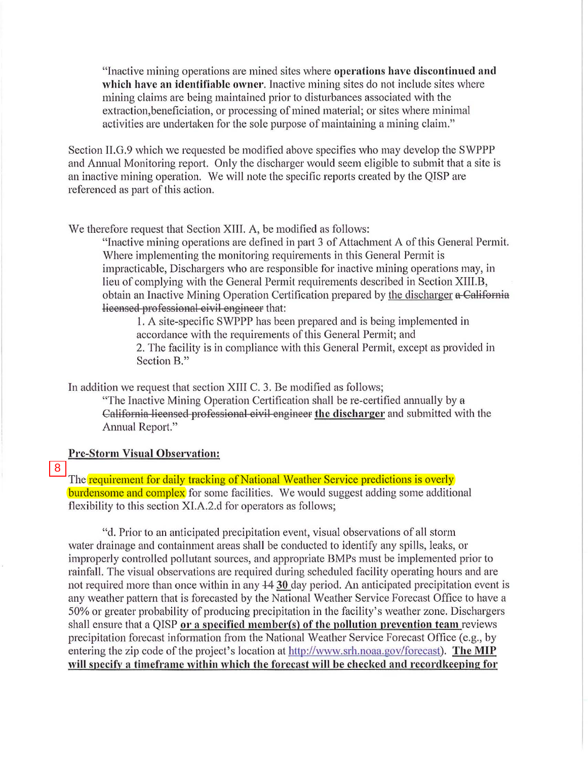"Inactive mining operations are mined sites where opemtions have discontinued and which have an identifiable owner. Inactive mining sites do not include sites where mining claims are being maintained prior to disturbances associated with the extraction,beneficiation, or processing of mined material; or sites where minimal activities are undertaken for the sole purpose of maintaining a mining claim."

Section II.G.9 which we requested be modified above specifies who may develop the SWPPP and Annual Monitoring report. Only the discharger would seem eligible to submit that a site is an inactive mining operation. We will note the specific reports created by the QISP are referenced as part of this action.

We therefore request that Section XIIl. A, be modified as follows:

"Inactive mining operations are defined in part 3 of Attachment A of this General Permit. Where implementing the monitoring requirements in this General Permit is impracticable, Dischargers who are responsible for inactive mining operations may, in lieu of complying with the General Permit requirements described in Section XIlI.B, obtain an Inactive Mining Operation Certification prepared by the discharger a California licensed professional civil engineer that:

I. A site-specific SWPPP has been prepared and is being implemented in accordance with the requirements of this General Permit; and 2. The facility is in compliance with this General Permit, except as provided in Section B."

In addition we request that section XIIl C. 3. Be modified as follows;

"The Inactive Mining Operation Certification shall be re-certified annually by a California licensed professional civil engineer the discharger and submitted with the Annual Report."

# Pre-Storm Visual Observation:

#### 8

The requirement for daily tracking of National Weather Service predictions is overly **burdensome and complex** for some facilities. We would suggest adding some additional flexibility to this section XI.A.2.d for operators as follows;

"d. Prior to an anticipated precipitation event, visual observations of all storm water drainage and containment areas shall be conducted to identify any spills, leaks, or improperly controlled pollutant sources, and appropriate BMPs must be implemented prior to rainfall. The visual observations are required during scheduled facility operating hours and are not required more than once within in any 44 30 day period. An anticipated precipitation event is any weather pattern that is forecasted by the National Weather Service Forecast Office to have a 50% or greater probability of producing precipitation in the facility 's weather zone. Dischargers shall ensure that a QISP or a specified member(s) of the pollution prevention team reviews precipitation forecast information from the National Weather Service Forecast Office (e.g., by entering the zip code of the project's location at http://www.srh.noaa.gov/forecast). The MIP will specify a timeframe within which the forecast will be checked and recordkeeping for